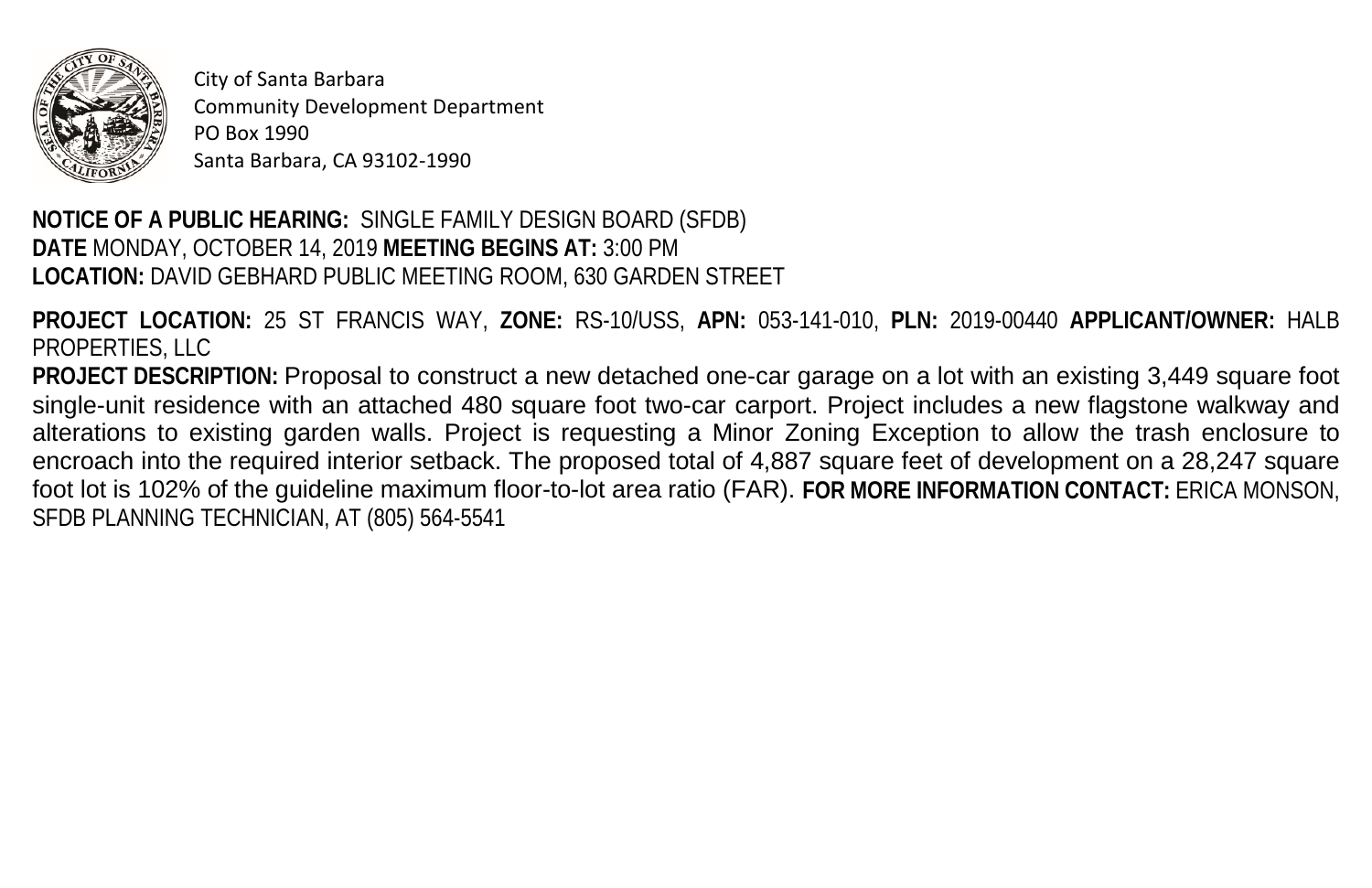

City of Santa Barbara Community Development Department PO Box 1990 Santa Barbara, CA 93102-1990

## **NOTICE OF A PUBLIC HEARING:** SINGLE FAMILY DESIGN BOARD (SFDB) **DATE** MONDAY, OCTOBER 14, 2019 **MEETING BEGINS AT:** 3:00 PM **LOCATION:** DAVID GEBHARD PUBLIC MEETING ROOM, 630 GARDEN STREET

**PROJECT LOCATION:** 25 ST FRANCIS WAY, **ZONE:** RS-10/USS, **APN:** 053-141-010, **PLN:** 2019-00440 **APPLICANT/OWNER:** HALB PROPERTIES, LLC

**PROJECT DESCRIPTION:** Proposal to construct a new detached one-car garage on a lot with an existing 3,449 square foot single-unit residence with an attached 480 square foot two-car carport. Project includes a new flagstone walkway and alterations to existing garden walls. Project is requesting a Minor Zoning Exception to allow the trash enclosure to encroach into the required interior setback. The proposed total of 4,887 square feet of development on a 28,247 square foot lot is 102% of the guideline maximum floor-to-lot area ratio (FAR). **FOR MORE INFORMATION CONTACT:** ERICA MONSON, SFDB PLANNING TECHNICIAN, AT (805) 564-5541